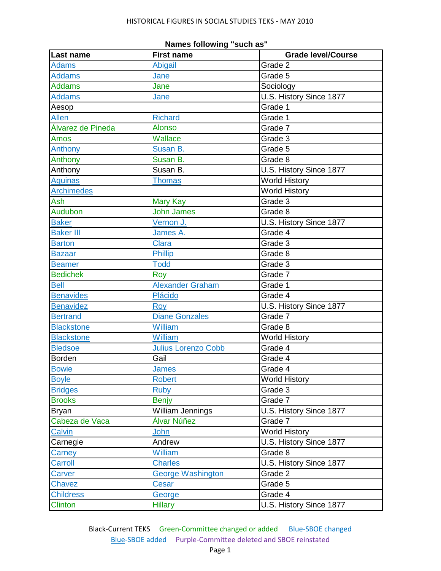| <b>Last name</b>  | <b>First name</b>          | <b>Grade level/Course</b> |
|-------------------|----------------------------|---------------------------|
| <b>Adams</b>      | Abigail                    | Grade 2                   |
| <b>Addams</b>     | Jane                       | Grade 5                   |
| <b>Addams</b>     | Jane                       | Sociology                 |
| <b>Addams</b>     | Jane                       | U.S. History Since 1877   |
| Aesop             |                            | Grade 1                   |
| <b>Allen</b>      | <b>Richard</b>             | Grade 1                   |
| Álvarez de Pineda | <b>Alonso</b>              | Grade 7                   |
| Amos              | Wallace                    | Grade 3                   |
| Anthony           | Susan B.                   | Grade 5                   |
| Anthony           | Susan B.                   | Grade 8                   |
| Anthony           | Susan B.                   | U.S. History Since 1877   |
| <b>Aquinas</b>    | <b>Thomas</b>              | <b>World History</b>      |
| <b>Archimedes</b> |                            | World History             |
| Ash               | <b>Mary Kay</b>            | Grade 3                   |
| Audubon           | <b>John James</b>          | Grade 8                   |
| <b>Baker</b>      | Vernon J.                  | U.S. History Since 1877   |
| <b>Baker III</b>  | James A.                   | Grade 4                   |
| <b>Barton</b>     | <b>Clara</b>               | Grade 3                   |
| <b>Bazaar</b>     | <b>Phillip</b>             | Grade 8                   |
| <b>Beamer</b>     | <b>Todd</b>                | Grade 3                   |
| <b>Bedichek</b>   | Roy                        | Grade 7                   |
| <b>Bell</b>       | Alexander Graham           | Grade 1                   |
| <b>Benavides</b>  | <b>Plácido</b>             | Grade 4                   |
| <b>Benavidez</b>  | Roy                        | U.S. History Since 1877   |
| <b>Bertrand</b>   | <b>Diane Gonzales</b>      | Grade 7                   |
| <b>Blackstone</b> | William                    | Grade 8                   |
| <b>Blackstone</b> | William                    | <b>World History</b>      |
| <b>Bledsoe</b>    | <b>Julius Lorenzo Cobb</b> | Grade 4                   |
| <b>Borden</b>     | Gail                       | Grade 4                   |
| <b>Bowie</b>      | James                      | Grade 4                   |
| <b>Boyle</b>      | <b>Robert</b>              | <b>World History</b>      |
| <b>Bridges</b>    | <b>Ruby</b>                | Grade 3                   |
| <b>Brooks</b>     | <b>Benjy</b>               | Grade 7                   |
| <b>Bryan</b>      | William Jennings           | U.S. History Since 1877   |
| Cabeza de Vaca    | Álvar Núñez                | Grade 7                   |
| Calvin            | John                       | <b>World History</b>      |
| Carnegie          | Andrew                     | U.S. History Since 1877   |
| Carney            | <b>William</b>             | Grade 8                   |
| Carroll           | <b>Charles</b>             | U.S. History Since 1877   |
| Carver            | <b>George Washington</b>   | Grade 2                   |
| Chavez            | <b>Cesar</b>               | Grade 5                   |
| <b>Childress</b>  | George                     | Grade 4                   |
| <b>Clinton</b>    | <b>Hillary</b>             | U.S. History Since 1877   |

| Names following "such as" |  |
|---------------------------|--|
|---------------------------|--|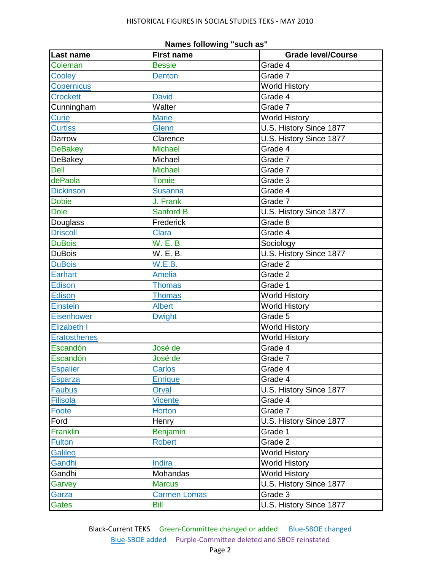| Last name           | <b>First name</b>   | Grade level/Course      |
|---------------------|---------------------|-------------------------|
| Coleman             | <b>Bessie</b>       | Grade 4                 |
| Cooley              | <b>Denton</b>       | Grade 7                 |
| Copernicus          |                     | <b>World History</b>    |
| <b>Crockett</b>     | <b>David</b>        | Grade 4                 |
| Cunningham          | Walter              | Grade 7                 |
| <b>Curie</b>        | <b>Marie</b>        | World History           |
| <b>Curtiss</b>      | Glenn               | U.S. History Since 1877 |
| Darrow              | Clarence            | U.S. History Since 1877 |
| <b>DeBakey</b>      | <b>Michael</b>      | Grade 4                 |
| DeBakey             | Michael             | Grade 7                 |
| Dell                | <b>Michael</b>      | Grade 7                 |
| dePaola             | <b>Tomie</b>        | Grade 3                 |
| <b>Dickinson</b>    | <b>Susanna</b>      | Grade 4                 |
| <b>Dobie</b>        | J. Frank            | Grade 7                 |
| <b>Dole</b>         | Sanford B.          | U.S. History Since 1877 |
| Douglass            | Frederick           | Grade 8                 |
| <b>Driscoll</b>     | <b>Clara</b>        | Grade 4                 |
| <b>DuBois</b>       | W. E. B.            | Sociology               |
| <b>DuBois</b>       | W. E. B.            | U.S. History Since 1877 |
| <b>DuBois</b>       | W.E.B.              | Grade 2                 |
| Earhart             | <b>Amelia</b>       | Grade 2                 |
| Edison              | <b>Thomas</b>       | Grade 1                 |
| <b>Edison</b>       | <b>Thomas</b>       | <b>World History</b>    |
| <b>Einstein</b>     | <b>Albert</b>       | World History           |
| Eisenhower          | <b>Dwight</b>       | Grade 5                 |
| Elizabeth I         |                     | <b>World History</b>    |
| <b>Eratosthenes</b> |                     | World History           |
| Escandón            | José de             | Grade 4                 |
| Escandón            | José de             | Grade 7                 |
| <b>Espalier</b>     | <b>Carlos</b>       | Grade 4                 |
| Esparza             | <b>Enrique</b>      | Grade 4                 |
| <b>Faubus</b>       | Orval               | U.S. History Since 1877 |
| <b>Filisola</b>     | <b>Vicente</b>      | Grade 4                 |
| Foote               | <b>Horton</b>       | Grade 7                 |
| Ford                | Henry               | U.S. History Since 1877 |
| <b>Franklin</b>     | <b>Benjamin</b>     | Grade 1                 |
| <b>Fulton</b>       | <b>Robert</b>       | Grade 2                 |
| <b>Galileo</b>      |                     | <b>World History</b>    |
| Gandhi              | Indira              | <b>World History</b>    |
| Gandhi              | Mohandas            | <b>World History</b>    |
| Garvey              | <b>Marcus</b>       | U.S. History Since 1877 |
| Garza               | <b>Carmen Lomas</b> | Grade 3                 |
| Gates               | <b>Bill</b>         | U.S. History Since 1877 |

## **Names following "such as"**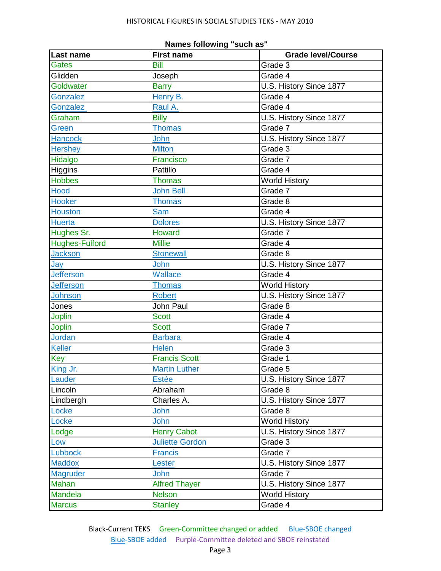| Last name             | <b>First name</b>      | <b>Grade level/Course</b> |
|-----------------------|------------------------|---------------------------|
| <b>Gates</b>          | <b>Bill</b>            | Grade 3                   |
| Glidden               | Joseph                 | Grade 4                   |
| Goldwater             | <b>Barry</b>           | U.S. History Since 1877   |
| Gonzalez              | Henry B.               | Grade 4                   |
| Gonzalez              | Raul A.                | Grade 4                   |
| Graham                | <b>Billy</b>           | U.S. History Since 1877   |
| Green                 | <b>Thomas</b>          | Grade 7                   |
| Hancock               | John                   | U.S. History Since 1877   |
| <b>Hershey</b>        | <b>Milton</b>          | Grade 3                   |
| Hidalgo               | Francisco              | Grade 7                   |
| Higgins               | Pattillo               | Grade 4                   |
| <b>Hobbes</b>         | <b>Thomas</b>          | <b>World History</b>      |
| Hood                  | <b>John Bell</b>       | Grade 7                   |
| Hooker                | <b>Thomas</b>          | Grade 8                   |
| <b>Houston</b>        | Sam                    | Grade 4                   |
| <b>Huerta</b>         | <b>Dolores</b>         | U.S. History Since 1877   |
| Hughes Sr.            | Howard                 | Grade 7                   |
| <b>Hughes-Fulford</b> | <b>Millie</b>          | Grade 4                   |
| <b>Jackson</b>        | <b>Stonewall</b>       | Grade 8                   |
| Jay                   | John                   | U.S. History Since 1877   |
| <b>Jefferson</b>      | <b>Wallace</b>         | Grade 4                   |
| <b>Jefferson</b>      | <b>Thomas</b>          | <b>World History</b>      |
| Johnson               | <b>Robert</b>          | U.S. History Since 1877   |
| Jones                 | John Paul              | Grade 8                   |
| <b>Joplin</b>         | <b>Scott</b>           | Grade 4                   |
| <b>Joplin</b>         | <b>Scott</b>           | Grade 7                   |
| <b>Jordan</b>         | <b>Barbara</b>         | Grade 4                   |
| <b>Keller</b>         | <b>Helen</b>           | Grade 3                   |
| Key                   | <b>Francis Scott</b>   | Grade 1                   |
| King Jr.              | <b>Martin Luther</b>   | Grade 5                   |
| Lauder                | <b>Estée</b>           | U.S. History Since 1877   |
| Lincoln               | Abraham                | Grade 8                   |
| Lindbergh             | Charles A.             | U.S. History Since 1877   |
| Locke                 | John                   | Grade 8                   |
| Locke                 | John                   | <b>World History</b>      |
| Lodge                 | <b>Henry Cabot</b>     | U.S. History Since 1877   |
| Low                   | <b>Juliette Gordon</b> | Grade 3                   |
| <b>Lubbock</b>        | <b>Francis</b>         | Grade 7                   |
| <b>Maddox</b>         | Lester                 | U.S. History Since 1877   |
| <b>Magruder</b>       | John                   | Grade 7                   |
| Mahan                 | <b>Alfred Thayer</b>   | U.S. History Since 1877   |
| Mandela               | <b>Nelson</b>          | <b>World History</b>      |
| <b>Marcus</b>         | <b>Stanley</b>         | Grade 4                   |

| Names following "such as" |  |
|---------------------------|--|
|---------------------------|--|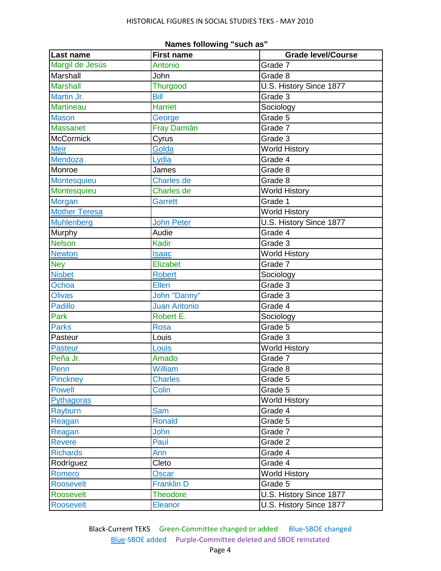| Last name            | <b>First name</b>   | <b>Grade level/Course</b> |
|----------------------|---------------------|---------------------------|
| Margil de Jesús      | Antonio             | Grade 7                   |
| Marshall             | John                | Grade 8                   |
| <b>Marshall</b>      | <b>Thurgood</b>     | U.S. History Since 1877   |
| Martin Jr.           | <b>Bill</b>         | Grade 3                   |
| <b>Martineau</b>     | <b>Harriet</b>      | Sociology                 |
| <b>Mason</b>         | George              | Grade 5                   |
| <b>Massanet</b>      | Fray Damián         | Grade 7                   |
| <b>McCormick</b>     | Cyrus               | Grade 3                   |
| <b>Meir</b>          | Golda               | <b>World History</b>      |
| Mendoza              | Lydia               | Grade 4                   |
| Monroe               | James               | Grade 8                   |
| Montesquieu          | <b>Charles de</b>   | Grade 8                   |
| Montesquieu          | <b>Charles de</b>   | <b>World History</b>      |
| <b>Morgan</b>        | <b>Garrett</b>      | Grade 1                   |
| <b>Mother Teresa</b> |                     | World History             |
| Muhlenberg           | <b>John Peter</b>   | U.S. History Since 1877   |
| Murphy               | Audie               | Grade 4                   |
| <b>Nelson</b>        | Kadir               | Grade 3                   |
| <b>Newton</b>        | <b>Isaac</b>        | <b>World History</b>      |
| <b>Ney</b>           | Elizabet            | Grade 7                   |
| <b>Nisbet</b>        | <b>Robert</b>       | Sociology                 |
| Ochoa                | <b>Ellen</b>        | Grade 3                   |
| <b>Olivas</b>        | John "Danny"        | Grade 3                   |
| <b>Padillo</b>       | <b>Juan Antonio</b> | Grade 4                   |
| Park                 | Robert E.           | Sociology                 |
| <b>Parks</b>         | <b>Rosa</b>         | Grade 5                   |
| Pasteur              | Louis               | Grade 3                   |
| Pasteur              | Louis               | <b>World History</b>      |
| Peña Jr.             | Amado               | Grade 7                   |
| Penn                 | William             | Grade 8                   |
| Pinckney             | <b>Charles</b>      | Grade 5                   |
| <b>Powell</b>        | Colin               | Grade 5                   |
| Pythagoras           |                     | World History             |
| Rayburn              | <b>Sam</b>          | Grade 4                   |
| Reagan               | <b>Ronald</b>       | Grade 5                   |
| Reagan               | John                | Grade 7                   |
| <b>Revere</b>        | Paul                | Grade 2                   |
| <b>Richards</b>      | Ann                 | Grade 4                   |
| Rodríguez            | Cleto               | Grade 4                   |
| Romero               | Oscar               | <b>World History</b>      |
| <b>Roosevelt</b>     | <b>Franklin D</b>   | Grade 5                   |
| Roosevelt            | <b>Theodore</b>     | U.S. History Since 1877   |
| <b>Roosevelt</b>     | Eleanor             | U.S. History Since 1877   |

| Names following "such as" |  |
|---------------------------|--|
|---------------------------|--|